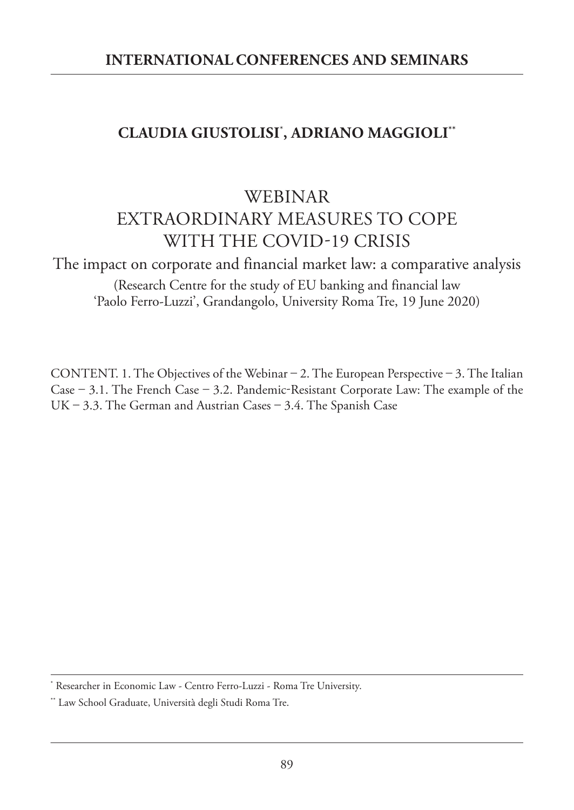## **CLAUDIA GIUSTOLISI**\* **, ADRIANO MAGGIOLI\*\***

# WEBINAR EXTRAORDINARY MEASURES TO COPE WITH THE COVID-19 CRISIS

The impact on corporate and financial market law: a comparative analysis (Research Centre for the study of EU banking and financial law 'Paolo Ferro-Luzzi', Grandangolo, University Roma Tre, 19 June 2020)

CONTENT. 1. The Objectives of the Webinar – 2. The European Perspective – 3. The Italian Case – 3.1. The French Case – 3.2. Pandemic-Resistant Corporate Law: The example of the UK – 3.3. The German and Austrian Cases – 3.4. The Spanish Case

Researcher in Economic Law - Centro Ferro-Luzzi - Roma Tre University.

<sup>\*\*</sup> Law School Graduate, Università degli Studi Roma Tre.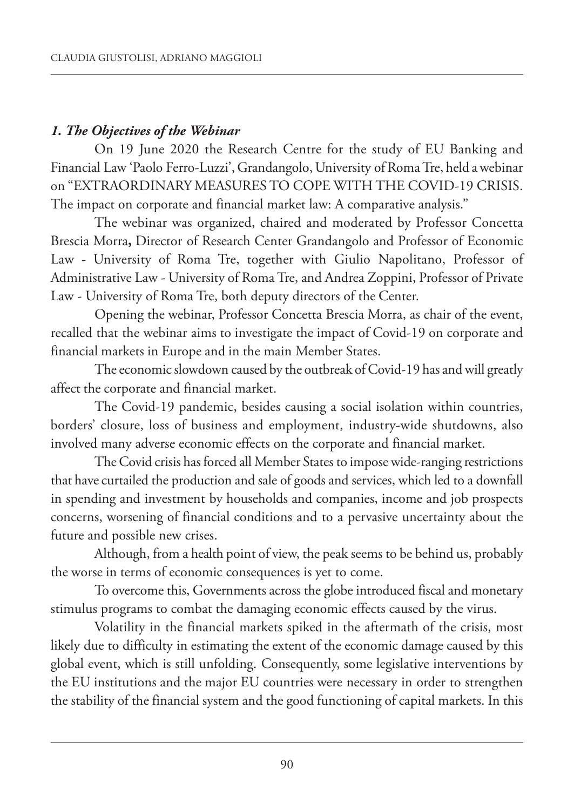## *1. The Objectives of the Webinar*

On 19 June 2020 the Research Centre for the study of EU Banking and Financial Law 'Paolo Ferro-Luzzi', Grandangolo, University of Roma Tre, held a webinar on "EXTRAORDINARY MEASURES TO COPE WITH THE COVID-19 CRISIS. The impact on corporate and financial market law: A comparative analysis."

The webinar was organized, chaired and moderated by Professor Concetta Brescia Morra**,** Director of Research Center Grandangolo and Professor of Economic Law - University of Roma Tre, together with Giulio Napolitano, Professor of Administrative Law - University of Roma Tre, and Andrea zoppini, Professor of Private Law - University of Roma Tre, both deputy directors of the Center.

Opening the webinar, Professor Concetta Brescia Morra, as chair of the event, recalled that the webinar aims to investigate the impact of Covid-19 on corporate and financial markets in Europe and in the main Member States.

The economic slowdown caused by the outbreak of Covid-19 has and will greatly affect the corporate and financial market.

The Covid-19 pandemic, besides causing a social isolation within countries, borders' closure, loss of business and employment, industry-wide shutdowns, also involved many adverse economic effects on the corporate and financial market.

TheCovid crisis has forced all Member States to impose wide-ranging restrictions that have curtailed the production and sale of goods and services, which led to a downfall in spending and investment by households and companies, income and job prospects concerns, worsening of financial conditions and to a pervasive uncertainty about the future and possible new crises.

Although, from a health point of view, the peak seems to be behind us, probably the worse in terms of economic consequences is yet to come.

To overcome this, Governments across the globe introduced fiscal and monetary stimulus programs to combat the damaging economic effects caused by the virus.

Volatility in the financial markets spiked in the aftermath of the crisis, most likely due to difficulty in estimating the extent of the economic damage caused by this global event, which is still unfolding. Consequently, some legislative interventions by the EU institutions and the major EU countries were necessary in order to strengthen the stability of the financial system and the good functioning of capital markets. In this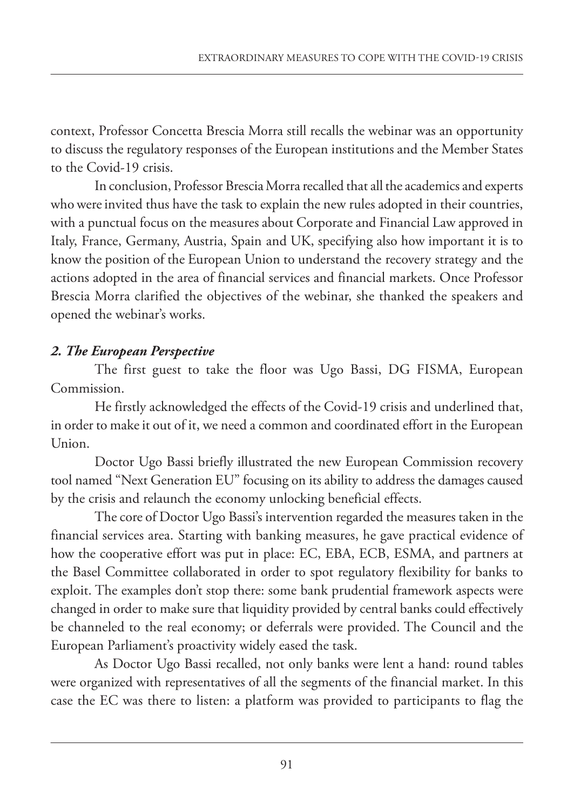context, Professor Concetta Brescia Morra still recalls the webinar was an opportunity to discuss the regulatory responses of the European institutions and the Member States to the Covid-19 crisis.

In conclusion, Professor Brescia Morra recalled that all the academics and experts who were invited thus have the task to explain the new rules adopted in their countries, with a punctual focus on the measures about Corporate and Financial Law approved in Italy, France, Germany, Austria, Spain and UK, specifying also how important it is to know the position of the European Union to understand the recovery strategy and the actions adopted in the area of financial services and financial markets. Once Professor Brescia Morra clarified the objectives of the webinar, she thanked the speakers and opened the webinar's works.

## *2. The European Perspective*

The first guest to take the floor was Ugo Bassi, DG FISMA, European Commission.

He firstly acknowledged the effects of the Covid-19 crisis and underlined that, in order to make it out of it, we need a common and coordinated effort in the European Union.

Doctor Ugo Bassi briefly illustrated the new European Commission recovery tool named "Next Generation EU" focusing on its ability to address the damages caused by the crisis and relaunch the economy unlocking beneficial effects.

The core of Doctor Ugo Bassi's intervention regarded the measures taken in the financial services area. Starting with banking measures, he gave practical evidence of how the cooperative effort was put in place: EC, EBA, ECB, ESMA, and partners at the Basel Committee collaborated in order to spot regulatory flexibility for banks to exploit. The examples don't stop there: some bank prudential framework aspects were changed in order to make sure that liquidity provided by central banks could effectively be channeled to the real economy; or deferrals were provided. The Council and the European Parliament's proactivity widely eased the task.

As Doctor Ugo Bassi recalled, not only banks were lent a hand: round tables were organized with representatives of all the segments of the financial market. In this case the EC was there to listen: a platform was provided to participants to flag the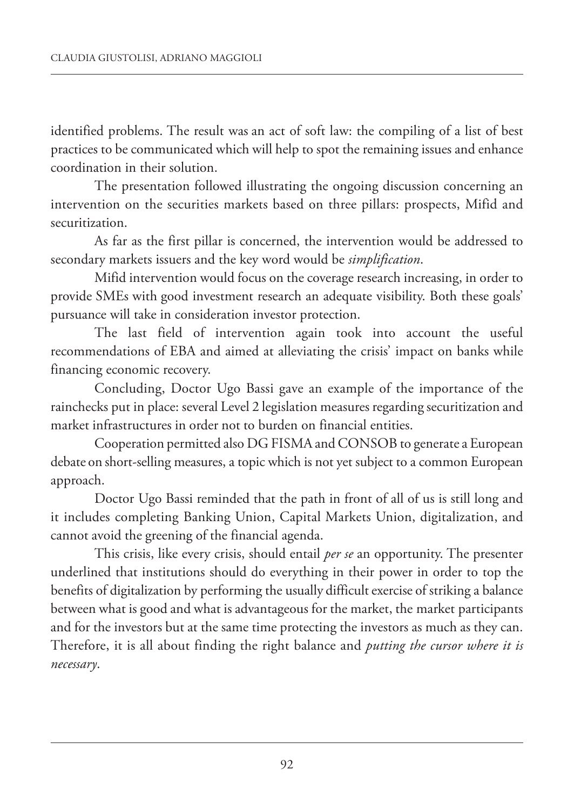identified problems. The result was an act of soft law: the compiling of a list of best practices to be communicated which will help to spot the remaining issues and enhance coordination in their solution.

The presentation followed illustrating the ongoing discussion concerning an intervention on the securities markets based on three pillars: prospects, Mifid and securitization.

As far as the first pillar is concerned, the intervention would be addressed to secondary markets issuers and the key word would be *simplification*.

Mifid intervention would focus on the coverage research increasing, in order to provide SMEs with good investment research an adequate visibility. Both these goals' pursuance will take in consideration investor protection.

The last field of intervention again took into account the useful recommendations of EBA and aimed at alleviating the crisis' impact on banks while financing economic recovery.

Concluding, Doctor Ugo Bassi gave an example of the importance of the rainchecks put in place: several Level 2 legislation measures regarding securitization and market infrastructures in order not to burden on financial entities.

Cooperation permitted also DG FISMA and CONSOB to generate a European debate on short-selling measures, a topic which is not yet subject to a common European approach.

Doctor Ugo Bassi reminded that the path in front of all of us is still long and it includes completing Banking Union, Capital Markets Union, digitalization, and cannot avoid the greening of the financial agenda.

This crisis, like every crisis, should entail *per se* an opportunity. The presenter underlined that institutions should do everything in their power in order to top the benefits of digitalization by performing the usually difficult exercise of striking a balance between what is good and what is advantageous for the market, the market participants and for the investors but at the same time protecting the investors as much as they can. Therefore, it is all about finding the right balance and *putting the cursor where it is necessary*.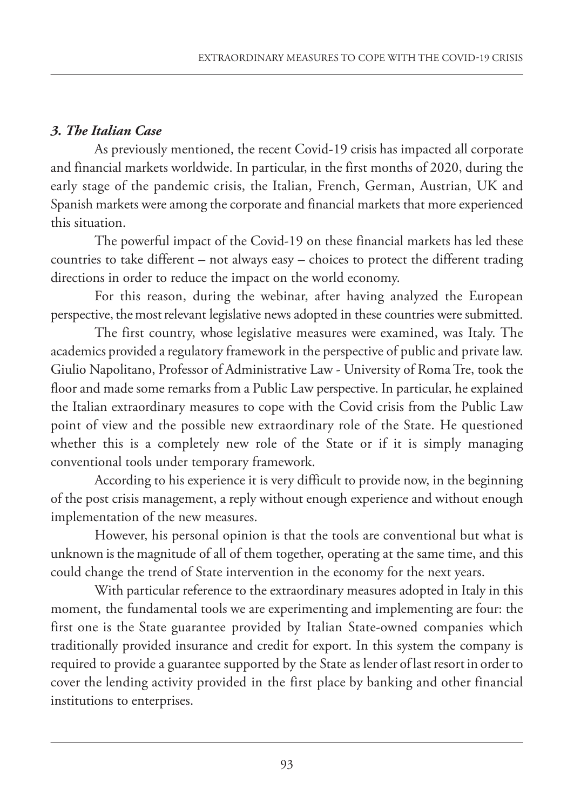## *3. The Italian Case*

As previously mentioned, the recent Covid-19 crisis has impacted all corporate and financial markets worldwide. In particular, in the first months of 2020, during the early stage of the pandemic crisis, the Italian, French, German, Austrian, UK and Spanish markets were among the corporate and financial markets that more experienced this situation.

The powerful impact of the Covid-19 on these financial markets has led these countries to take different – not always easy – choices to protect the different trading directions in order to reduce the impact on the world economy.

For this reason, during the webinar, after having analyzed the European perspective, the most relevant legislative news adopted in these countries were submitted.

The first country, whose legislative measures were examined, was Italy. The academics provided a regulatory framework in the perspective of public and private law. Giulio Napolitano, Professor of Administrative Law - University of Roma Tre, took the floor and made some remarks from a Public Law perspective. In particular, he explained the Italian extraordinary measures to cope with the Covid crisis from the Public Law point of view and the possible new extraordinary role of the State. He questioned whether this is a completely new role of the State or if it is simply managing conventional tools under temporary framework.

According to his experience it is very difficult to provide now, in the beginning of the post crisis management, a reply without enough experience and without enough implementation of the new measures.

However, his personal opinion is that the tools are conventional but what is unknown is the magnitude of all of them together, operating at the same time, and this could change the trend of State intervention in the economy for the next years.

With particular reference to the extraordinary measures adopted in Italy in this moment, the fundamental tools we are experimenting and implementing are four: the first one is the State guarantee provided by Italian State-owned companies which traditionally provided insurance and credit for export. In this system the company is required to provide a guarantee supported by the State as lender of last resort in order to cover the lending activity provided in the first place by banking and other financial institutions to enterprises.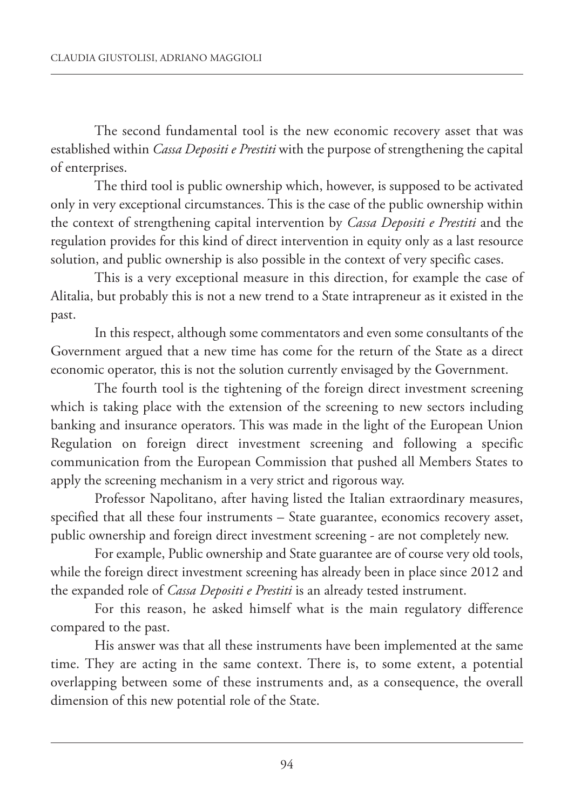The second fundamental tool is the new economic recovery asset that was established within *Cassa Depositi e Prestiti* with the purpose of strengthening the capital of enterprises.

The third tool is public ownership which, however, is supposed to be activated only in very exceptional circumstances. This is the case of the public ownership within the context of strengthening capital intervention by *Cassa Depositi e Prestiti* and the regulation provides for this kind of direct intervention in equity only as a last resource solution, and public ownership is also possible in the context of very specific cases.

This is a very exceptional measure in this direction, for example the case of Alitalia, but probably this is not a new trend to a State intrapreneur as it existed in the past.

In this respect, although some commentators and even some consultants of the Government argued that a new time has come for the return of the State as a direct economic operator, this is not the solution currently envisaged by the Government.

The fourth tool is the tightening of the foreign direct investment screening which is taking place with the extension of the screening to new sectors including banking and insurance operators. This was made in the light of the European Union Regulation on foreign direct investment screening and following a specific communication from the European Commission that pushed all Members States to apply the screening mechanism in a very strict and rigorous way.

Professor Napolitano, after having listed the Italian extraordinary measures, specified that all these four instruments – State guarantee, economics recovery asset, public ownership and foreign direct investment screening - are not completely new.

For example, Public ownership and State guarantee are of course very old tools, while the foreign direct investment screening has already been in place since 2012 and the expanded role of *Cassa Depositi e Prestiti* is an already tested instrument.

For this reason, he asked himself what is the main regulatory difference compared to the past.

His answer was that all these instruments have been implemented at the same time. They are acting in the same context. There is, to some extent, a potential overlapping between some of these instruments and, as a consequence, the overall dimension of this new potential role of the State.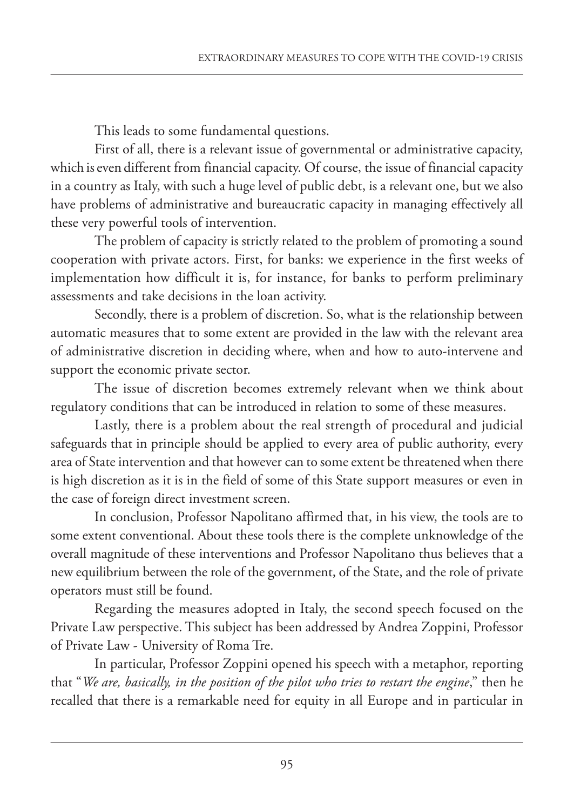This leads to some fundamental questions.

First of all, there is a relevant issue of governmental or administrative capacity, which is even different from financial capacity. Of course, the issue of financial capacity in a country as Italy, with such a huge level of public debt, is a relevant one, but we also have problems of administrative and bureaucratic capacity in managing effectively all these very powerful tools of intervention.

The problem of capacity is strictly related to the problem of promoting a sound cooperation with private actors. First, for banks: we experience in the first weeks of implementation how difficult it is, for instance, for banks to perform preliminary assessments and take decisions in the loan activity.

Secondly, there is a problem of discretion. So, what is the relationship between automatic measures that to some extent are provided in the law with the relevant area of administrative discretion in deciding where, when and how to auto-intervene and support the economic private sector.

The issue of discretion becomes extremely relevant when we think about regulatory conditions that can be introduced in relation to some of these measures.

Lastly, there is a problem about the real strength of procedural and judicial safeguards that in principle should be applied to every area of public authority, every area of State intervention and that however can to some extent be threatened when there is high discretion as it is in the field of some of this State support measures or even in the case of foreign direct investment screen.

In conclusion, Professor Napolitano affirmed that, in his view, the tools are to some extent conventional. About these tools there is the complete unknowledge of the overall magnitude of these interventions and Professor Napolitano thus believes that a new equilibrium between the role of the government, of the State, and the role of private operators must still be found.

Regarding the measures adopted in Italy, the second speech focused on the Private Law perspective. This subject has been addressed by Andrea zoppini, Professor of Private Law - University of Roma Tre.

In particular, Professor zoppini opened his speech with a metaphor, reporting that "*We are, basically, in the position of the pilot who tries to restart the engine*," then he recalled that there is a remarkable need for equity in all Europe and in particular in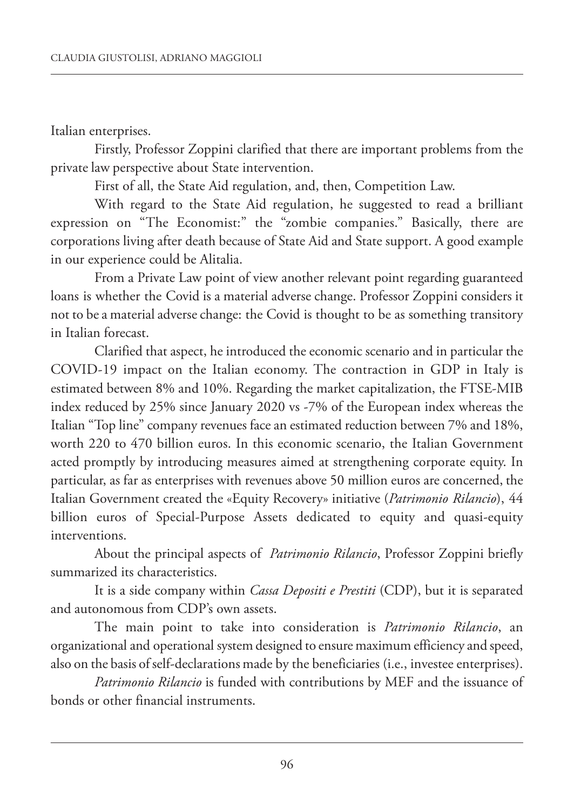Italian enterprises.

Firstly, Professor Zoppini clarified that there are important problems from the private law perspective about State intervention.

First of all, the State Aid regulation, and, then, Competition Law.

With regard to the State Aid regulation, he suggested to read a brilliant expression on "The Economist:" the "zombie companies." Basically, there are corporations living after death because of State Aid and State support. A good example in our experience could be Alitalia.

From a Private Law point of view another relevant point regarding guaranteed loans is whether the Covid is a material adverse change. Professor Zoppini considers it not to be a material adverse change: the Covid is thought to be as something transitory in Italian forecast.

Clarified that aspect, he introduced the economic scenario and in particular the COVID-19 impact on the Italian economy. The contraction in GDP in Italy is estimated between 8% and 10%. Regarding the market capitalization, the FTSE-MIB index reduced by 25% since January 2020 vs -7% of the European index whereas the Italian "Top line" company revenues face an estimated reduction between 7% and 18%, worth 220 to 470 billion euros. In this economic scenario, the Italian Government acted promptly by introducing measures aimed at strengthening corporate equity. In particular, as far as enterprises with revenues above 50 million euros are concerned, the Italian Government created the «Equity Recovery» initiative (*Patrimonio Rilancio*), 44 billion euros of Special-Purpose Assets dedicated to equity and quasi-equity interventions.

About the principal aspects of *Patrimonio Rilancio*, Professor zoppini briefly summarized its characteristics.

It is a side company within *Cassa Depositi e Prestiti* (CDP), but it is separated and autonomous from CDP's own assets.

The main point to take into consideration is *Patrimonio Rilancio*, an organizational and operational system designed to ensure maximum efficiency and speed, also on the basis of self-declarations made by the beneficiaries (i.e., investee enterprises).

*Patrimonio Rilancio* is funded with contributions by MEF and the issuance of bonds or other financial instruments.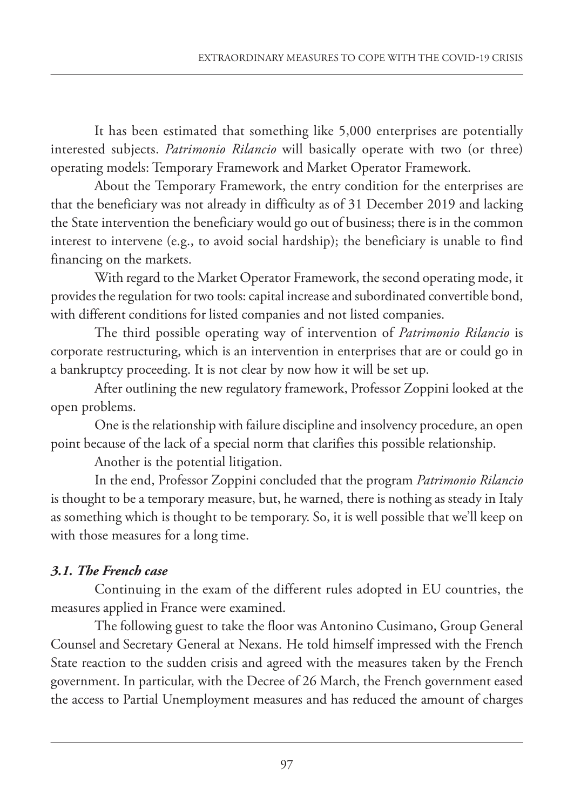It has been estimated that something like 5,000 enterprises are potentially interested subjects. *Patrimonio Rilancio* will basically operate with two (or three) operating models: Temporary Framework and Market Operator Framework.

About the Temporary Framework, the entry condition for the enterprises are that the beneficiary was not already in difficulty as of 31 December 2019 and lacking the State intervention the beneficiary would go out of business; there is in the common interest to intervene (e.g., to avoid social hardship); the beneficiary is unable to find financing on the markets.

With regard to the Market Operator Framework, the second operating mode, it provides the regulation for two tools: capital increase and subordinated convertible bond, with different conditions for listed companies and not listed companies.

The third possible operating way of intervention of *Patrimonio Rilancio* is corporate restructuring, which is an intervention in enterprises that are or could go in a bankruptcy proceeding. It is not clear by now how it will be set up.

After outlining the new regulatory framework, Professor zoppini looked at the open problems.

One is the relationship with failure discipline and insolvency procedure, an open point because of the lack of a special norm that clarifies this possible relationship.

Another is the potential litigation.

In the end, Professor zoppini concluded that the program *Patrimonio Rilancio* is thought to be a temporary measure, but, he warned, there is nothing as steady in Italy as something which is thought to be temporary. So, it is well possible that we'll keep on with those measures for a long time.

## *3.1. The French case*

Continuing in the exam of the different rules adopted in EU countries, the measures applied in France were examined.

The following guest to take the floor was Antonino Cusimano, Group General Counsel and Secretary General at Nexans. He told himself impressed with the French State reaction to the sudden crisis and agreed with the measures taken by the French government. In particular, with the Decree of 26 March, the French government eased the access to Partial Unemployment measures and has reduced the amount of charges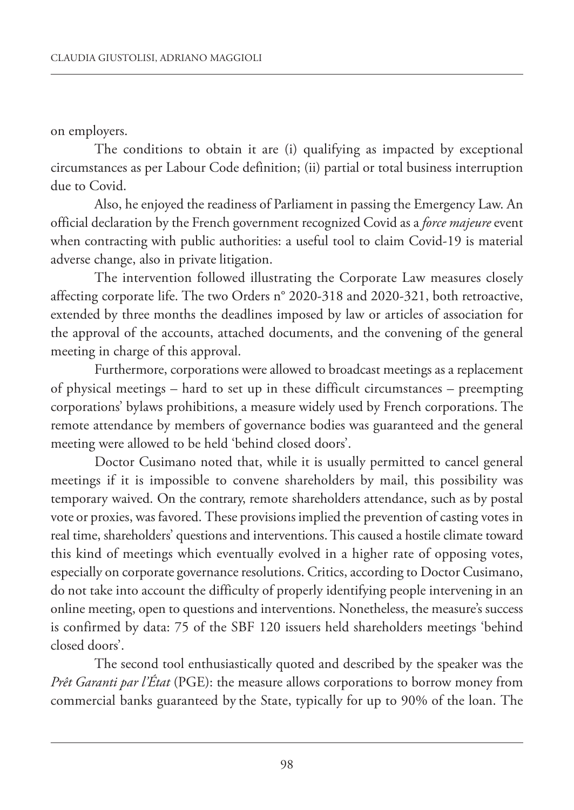on employers.

The conditions to obtain it are (i) qualifying as impacted by exceptional circumstances as per Labour Code definition; (ii) partial or total business interruption due to Covid.

Also, he enjoyed the readiness of Parliament in passing the Emergency Law. An official declaration by the French government recognized Covid as a *force majeure* event when contracting with public authorities: a useful tool to claim Covid-19 is material adverse change, also in private litigation.

The intervention followed illustrating the Corporate Law measures closely affecting corporate life. The two Orders n° 2020-318 and 2020-321, both retroactive, extended by three months the deadlines imposed by law or articles of association for the approval of the accounts, attached documents, and the convening of the general meeting in charge of this approval.

Furthermore, corporations were allowed to broadcast meetings as a replacement of physical meetings – hard to set up in these difficult circumstances – preempting corporations' bylaws prohibitions, a measure widely used by French corporations. The remote attendance by members of governance bodies was guaranteed and the general meeting were allowed to be held 'behind closed doors'.

Doctor Cusimano noted that, while it is usually permitted to cancel general meetings if it is impossible to convene shareholders by mail, this possibility was temporary waived. On the contrary, remote shareholders attendance, such as by postal vote or proxies, was favored. These provisions implied the prevention of casting votes in real time, shareholders' questions and interventions.This caused a hostile climate toward this kind of meetings which eventually evolved in a higher rate of opposing votes, especially on corporate governance resolutions. Critics, according to Doctor Cusimano, do not take into account the difficulty of properly identifying people intervening in an online meeting, open to questions and interventions. Nonetheless, the measure's success is confirmed by data: 75 of the SBF 120 issuers held shareholders meetings 'behind closed doors'.

The second tool enthusiastically quoted and described by the speaker was the *Prêt Garanti par l'État* (PGE): the measure allows corporations to borrow money from commercial banks guaranteed by the State, typically for up to 90% of the loan. The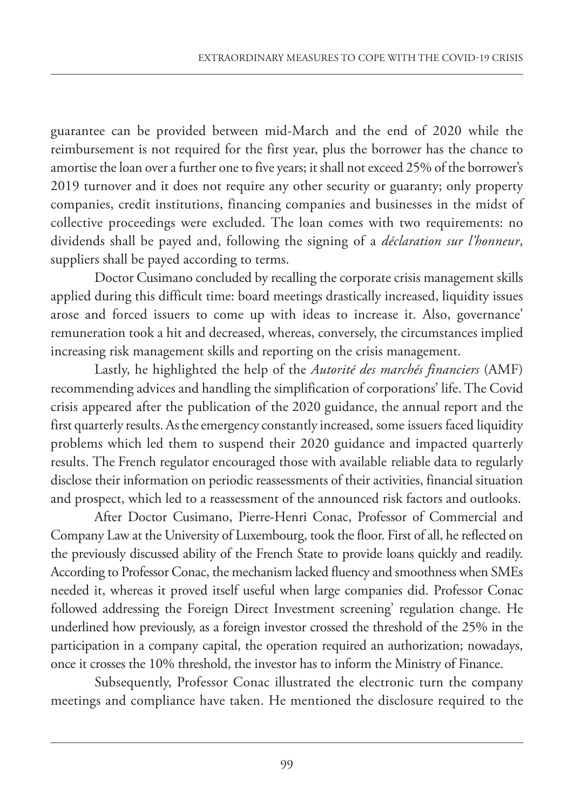guarantee can be provided between mid-March and the end of 2020 while the reimbursement is not required for the first year, plus the borrower has the chance to amortise the loan over a further one to five years; it shall not exceed 25% of the borrower's 2019 turnover and it does not require any other security or guaranty; only property companies, credit institutions, financing companies and businesses in the midst of collective proceedings were excluded. The loan comes with two requirements: no dividends shall be payed and, following the signing of a *déclaration sur l'honneur*, suppliers shall be payed according to terms.

Doctor Cusimano concluded by recalling the corporate crisis management skills applied during this difficult time: board meetings drastically increased, liquidity issues arose and forced issuers to come up with ideas to increase it. Also, governance' remuneration took a hit and decreased, whereas, conversely, the circumstances implied increasing risk management skills and reporting on the crisis management.

Lastly, he highlighted the help of the *Autorité des marchés financiers* (AMF) recommending advices and handling the simplification of corporations' life. The Covid crisis appeared after the publication of the 2020 guidance, the annual report and the first quarterly results. As the emergency constantly increased, some issuers faced liquidity problems which led them to suspend their 2020 guidance and impacted quarterly results. The French regulator encouraged those with available reliable data to regularly disclose their information on periodic reassessments of their activities, financial situation and prospect, which led to a reassessment of the announced risk factors and outlooks.

After Doctor Cusimano, Pierre-Henri Conac, Professor of Commercial and Company Law at the University of Luxembourg, took the floor. First of all, he reflected on the previously discussed ability of the French State to provide loans quickly and readily. According to Professor Conac, the mechanism lacked fluency and smoothness when SMEs needed it, whereas it proved itself useful when large companies did. Professor Conac followed addressing the Foreign Direct Investment screening' regulation change. He underlined how previously, as a foreign investor crossed the threshold of the 25% in the participation in a company capital, the operation required an authorization; nowadays, once it crosses the 10% threshold, the investor has to inform the Ministry of Finance.

Subsequently, Professor Conac illustrated the electronic turn the company meetings and compliance have taken. He mentioned the disclosure required to the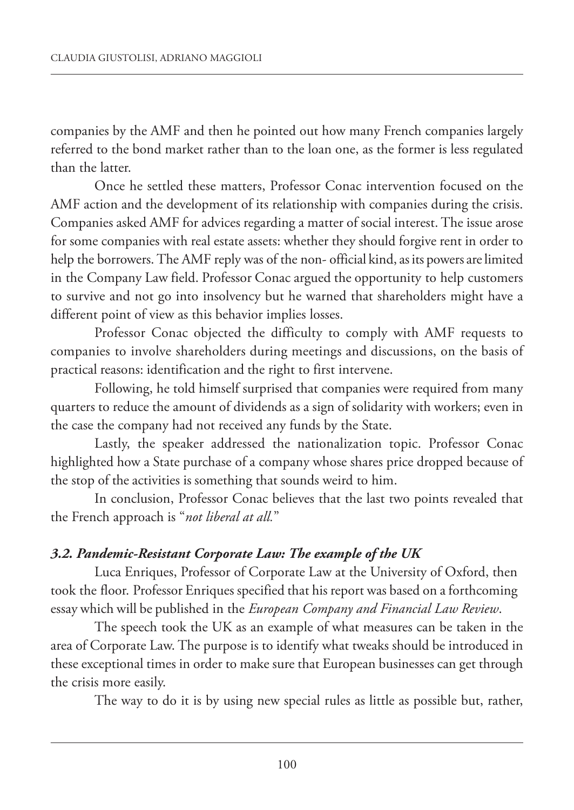companies by the AMF and then he pointed out how many French companies largely referred to the bond market rather than to the loan one, as the former is less regulated than the latter.

Once he settled these matters, Professor Conac intervention focused on the AMF action and the development of its relationship with companies during the crisis. Companies asked AMF for advices regarding a matter of social interest. The issue arose for some companies with real estate assets: whether they should forgive rent in order to help the borrowers. The AMF reply was of the non- official kind, as its powers are limited in the Company Law field. Professor Conac argued the opportunity to help customers to survive and not go into insolvency but he warned that shareholders might have a different point of view as this behavior implies losses.

Professor Conac objected the difficulty to comply with AMF requests to companies to involve shareholders during meetings and discussions, on the basis of practical reasons: identification and the right to first intervene.

Following, he told himself surprised that companies were required from many quarters to reduce the amount of dividends as a sign of solidarity with workers; even in the case the company had not received any funds by the State.

Lastly, the speaker addressed the nationalization topic. Professor Conac highlighted how a State purchase of a company whose shares price dropped because of the stop of the activities is something that sounds weird to him.

In conclusion, Professor Conac believes that the last two points revealed that the French approach is "*not liberal at all.*"

## *3.2. Pandemic-Resistant Corporate Law: The example of the UK*

Luca Enriques, Professor of Corporate Law at the University of Oxford, then took the floor. Professor Enriques specified that his report was based on a forthcoming essay which will be published in the *European Company and Financial Law Review*.

The speech took the UK as an example of what measures can be taken in the area of Corporate Law. The purpose is to identify what tweaks should be introduced in these exceptional times in order to make sure that European businesses can get through the crisis more easily.

The way to do it is by using new special rules as little as possible but, rather,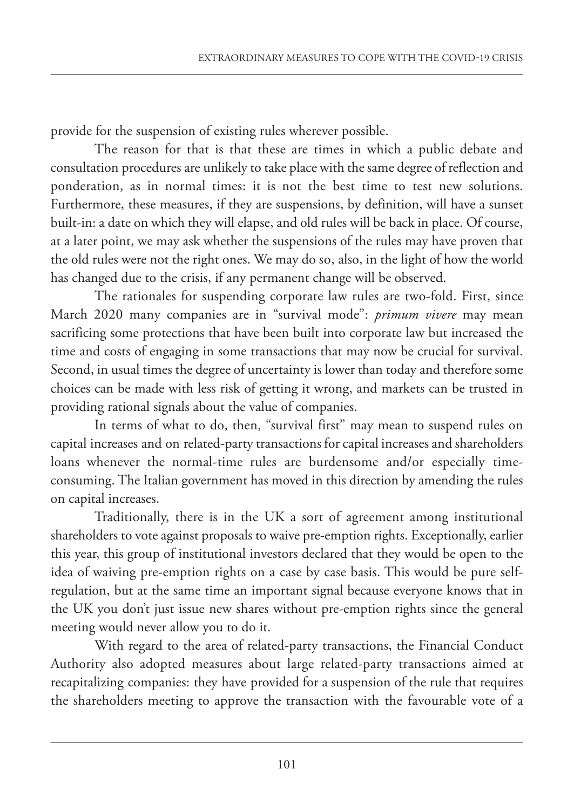provide for the suspension of existing rules wherever possible.

The reason for that is that these are times in which a public debate and consultation procedures are unlikely to take place with thesame degree of reflection and ponderation, as in normal times: it is not the best time to test new solutions. Furthermore, these measures, if they are suspensions, by definition, will have a sunset built-in: a date on which they will elapse, and old rules will be back in place. Of course, at a later point, we may ask whether the suspensions of the rules may have proven that the old rules were not the right ones. We may do so, also, in the light of how the world has changed due to the crisis, if any permanent change will be observed.

The rationales for suspending corporate law rules are two-fold. First, since March 2020 many companies are in "survival mode": *primum vivere* may mean sacrificing some protections that have been built into corporate law but increased the time and costs of engaging in some transactions that may now be crucial for survival. Second, in usual times the degree of uncertainty is lower than today and therefore some choices can be made with less risk of getting it wrong, and markets can be trusted in providing rational signals about the value of companies.

In terms of what to do, then, "survival first" may mean to suspend rules on capital increases and on related-party transactions for capital increases and shareholders loans whenever the normal-time rules are burdensome and/or especially timeconsuming. The Italian government has moved in this direction by amending the rules on capital increases.

Traditionally, there is in the UK a sort of agreement among institutional shareholders to vote against proposals to waive pre-emption rights. Exceptionally, earlier this year, this group of institutional investors declared that they would be open to the idea of waiving pre-emption rights on a case by case basis. This would be pure selfregulation, but at the same time an important signal because everyone knows that in the UK you don't just issue new shares without pre-emption rights since the general meeting would never allow you to do it.

With regard to the area of related-party transactions, the Financial Conduct Authority also adopted measures about large related-party transactions aimed at recapitalizing companies: they have provided for a suspension of the rule that requires the shareholders meeting to approve the transaction with the favourable vote of a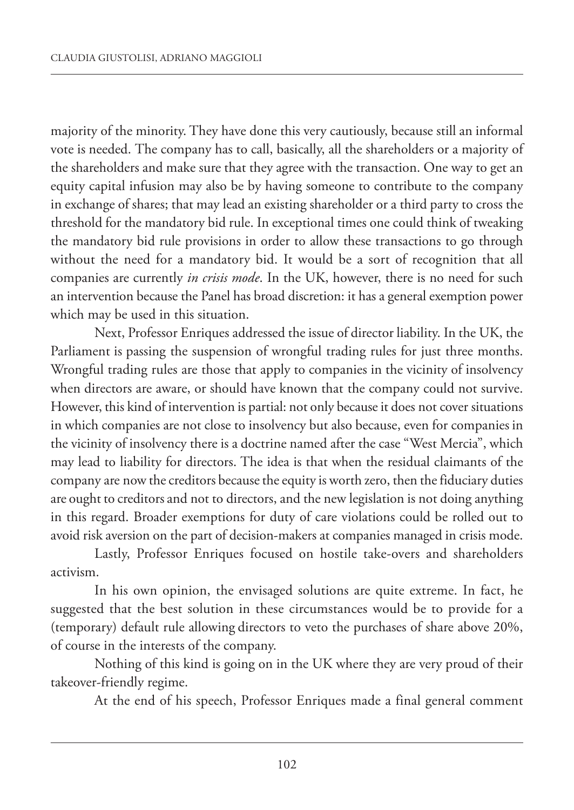majority of the minority. They have done this very cautiously, because still an informal vote is needed. The company has to call, basically, all the shareholders or a majority of the shareholders and make sure that they agree with the transaction. One way to get an equity capital infusion may also be by having someone to contribute to the company in exchange of shares; that may lead an existing shareholder or a third party to cross the threshold for the mandatory bid rule. In exceptional times one could think of tweaking the mandatory bid rule provisions in order to allow these transactions to go through without the need for a mandatory bid. It would be a sort of recognition that all companies are currently *in crisis mode*. In the UK, however, there is no need for such an intervention because the Panel has broad discretion: it has a general exemption power which may be used in this situation.

Next, Professor Enriques addressed theissue of director liability. In the UK, the Parliament is passing the suspension of wrongful trading rules for just three months. Wrongful trading rules are those that apply to companies in the vicinity of insolvency when directors are aware, or should have known that the company could not survive. However, this kind of intervention is partial: not only because it does not cover situations in which companies are not close to insolvency but also because, even for companies in the vicinity of insolvency there is a doctrine named after the case "West Mercia", which may lead to liability for directors. The idea is that when the residual claimants of the company are now the creditors becausetheequity is worth zero, then thefiduciary duties are ought to creditors and not to directors, and the new legislation is not doing anything in this regard. Broader exemptions for duty of care violations could be rolled out to avoid risk aversion on the part of decision-makers at companies managed in crisis mode.

Lastly, Professor Enriques focused on hostile take-overs and shareholders activism.

In his own opinion, the envisaged solutions are quite extreme. In fact, he suggested that the best solution in these circumstances would be to provide for a (temporary) default rule allowing directors to veto the purchases of share above 20%, of course in the interests of the company.

Nothing of this kind is going on in the UK where they are very proud of their takeover-friendly regime.

At the end of his speech, Professor Enriques made a final general comment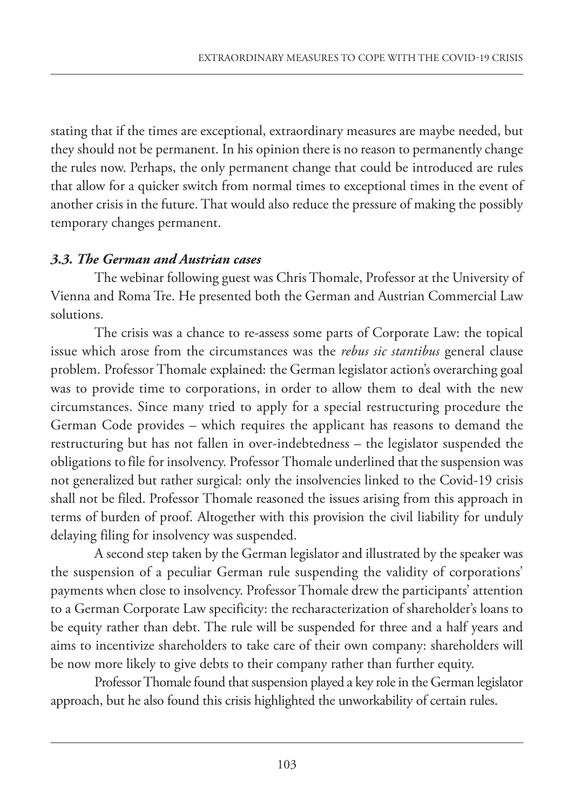stating that if the times are exceptional, extraordinary measures are maybe needed, but they should not be permanent. In his opinion there is no reason to permanently change the rules now. Perhaps, the only permanent change that could be introduced are rules that allow for a quicker switch from normal times to exceptional times in the event of another crisis in the future. That would also reduce the pressure of making the possibly temporary changes permanent.

#### *3.3. The German and Austrian cases*

The webinar following guest was Chris Thomale, Professor at the University of Vienna and Roma Tre. He presented both the German and Austrian Commercial Law solutions.

The crisis was a chance to re-assess some parts of Corporate Law: the topical issue which arose from the circumstances was the *rebus sic stantibus* general clause problem. Professor Thomale explained: the German legislator action's overarching goal was to provide time to corporations, in order to allow them to deal with the new circumstances. Since many tried to apply for a special restructuring procedure the German Code provides – which requires the applicant has reasons to demand the restructuring but has not fallen in over-indebtedness – the legislator suspended the obligations to file for insolvency. Professor Thomale underlined that the suspension was not generalized but rather surgical: only the insolvencies linked to the Covid-19 crisis shall not be filed. Professor Thomale reasoned the issues arising from this approach in terms of burden of proof. Altogether with this provision the civil liability for unduly delaying filing for insolvency was suspended.

A second step taken by the German legislator and illustrated by the speaker was the suspension of a peculiar German rule suspending the validity of corporations' payments when close to insolvency. Professor Thomale drew the participants' attention to a German Corporate Law specificity: the recharacterization of shareholder's loans to be equity rather than debt. The rule will be suspended for three and a half years and aims to incentivize shareholders to take care of their own company: shareholders will be now more likely to give debts to their company rather than further equity.

Professor Thomale found that suspension played a key role in the German legislator approach, but he also found this crisis highlighted the unworkability of certain rules.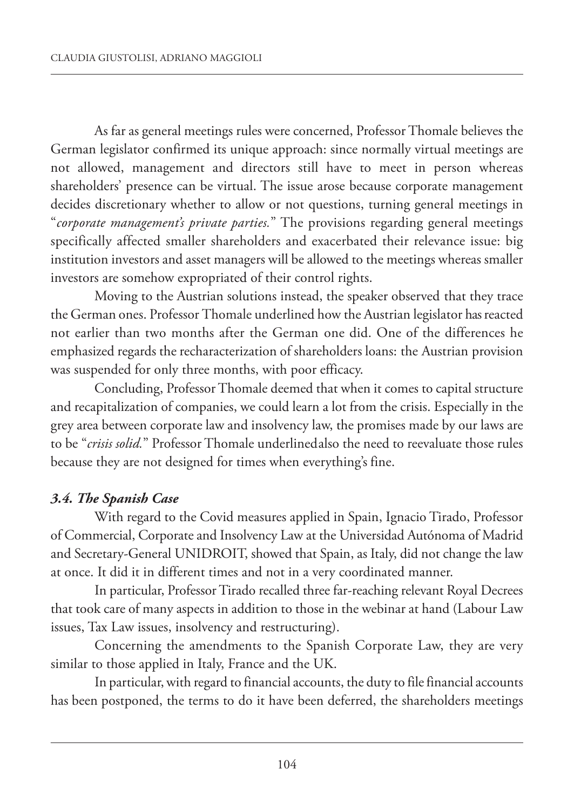As far as general meetings rules were concerned, Professor Thomale believes the German legislator confirmed its unique approach: since normally virtual meetings are not allowed, management and directors still have to meet in person whereas shareholders' presence can be virtual. The issue arose because corporate management decides discretionary whether to allow or not questions, turning general meetings in "*corporate management's private parties.*" The provisions regarding general meetings specifically affected smaller shareholders and exacerbated their relevance issue: big institution investors and asset managers will be allowed to the meetings whereas smaller investors are somehow expropriated of their control rights.

Moving to the Austrian solutions instead, the speaker observed that they trace the German ones. Professor Thomale underlined how the Austrian legislator hasreacted not earlier than two months after the German one did. One of the differences he emphasized regards the recharacterization of shareholders loans: the Austrian provision was suspended for only three months, with poor efficacy.

Concluding, Professor Thomale deemed that when it comes to capital structure and recapitalization of companies, we could learn a lot from the crisis. Especially in the grey area between corporate law and insolvency law, the promises made by our laws are to be "*crisis solid.*" Professor Thomale underlinedalso the need to reevaluate those rules because they are not designed for times when everything's fine.

## *3.4. The Spanish Case*

With regard to the Covid measures applied in Spain, Ignacio Tirado, Professor of Commercial, Corporate and Insolvency Law at the Universidad Autónoma of Madrid and Secretary-General UNIDROIT, showed that Spain, as Italy, did not change the law at once. It did it in different times and not in a very coordinated manner.

In particular, Professor Tirado recalled three far-reaching relevant Royal Decrees that took care of many aspects in addition to those in the webinar at hand (Labour Law issues, Tax Law issues, insolvency and restructuring).

Concerning the amendments to the Spanish Corporate Law, they are very similar to those applied in Italy, France and the UK.

In particular, with regard to financial accounts, the duty to file financial accounts has been postponed, the terms to do it have been deferred, the shareholders meetings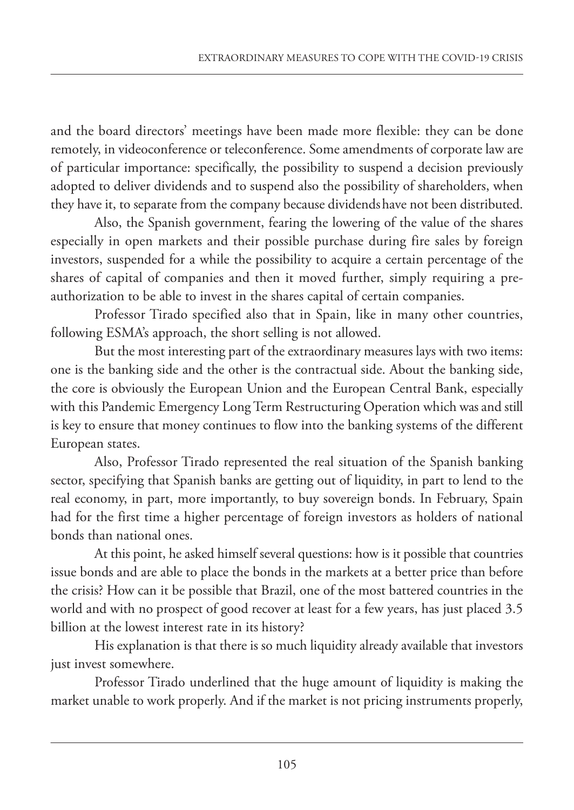and the board directors' meetings have been made more flexible: they can be done remotely, in videoconference or teleconference. Some amendments of corporate law are of particular importance: specifically, the possibility to suspend a decision previously adopted to deliver dividends and to suspend also the possibility of shareholders, when they have it, to separate from the company because dividendshave not been distributed.

Also, the Spanish government, fearing the lowering of the value of the shares especially in open markets and their possible purchase during fire sales by foreign investors, suspended for a while the possibility to acquire a certain percentage of the shares of capital of companies and then it moved further, simply requiring a preauthorization to be able to invest in the shares capital of certain companies.

Professor Tirado specified also that in Spain, like in many other countries, following ESMA's approach, the short selling is not allowed.

But the most interesting part of the extraordinary measures lays with two items: one is the banking side and the other is the contractual side. About the banking side, the core is obviously the European Union and the European Central Bank, especially with this Pandemic Emergency Long Term Restructuring Operation which was and still is key to ensure that money continues to flow into the banking systems of the different European states.

Also, Professor Tirado represented the real situation of the Spanish banking sector, specifying that Spanish banks are getting out of liquidity, in part to lend to the real economy, in part, more importantly, to buy sovereign bonds. In February, Spain had for the first time a higher percentage of foreign investors as holders of national bonds than national ones.

At this point, he asked himself several questions: how is it possible that countries issue bonds and are able to place the bonds in the markets at a better price than before the crisis? How can it be possible that Brazil, one of the most battered countries in the world and with no prospect of good recover at least for a few years, has just placed 3.5 billion at the lowest interest rate in its history?

His explanation is that there is so much liquidity already available that investors just invest somewhere.

Professor Tirado underlined that the huge amount of liquidity is making the market unable to work properly. And if the market is not pricing instruments properly,